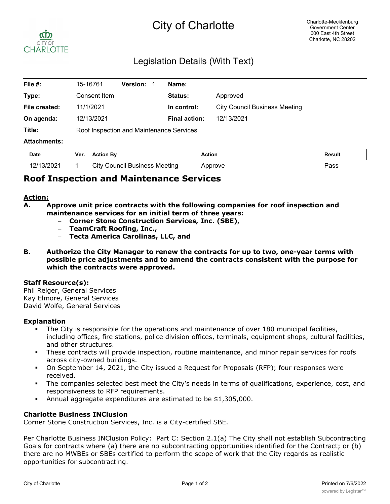# City of Charlotte



## Legislation Details (With Text)

| File #:             | 15-16761                                 | <b>Version:</b> | Name:                |                                      |               |
|---------------------|------------------------------------------|-----------------|----------------------|--------------------------------------|---------------|
| Type:               | Consent Item                             |                 | Status:              | Approved                             |               |
| File created:       | 11/1/2021                                |                 | In control:          | <b>City Council Business Meeting</b> |               |
| On agenda:          | 12/13/2021                               |                 | <b>Final action:</b> | 12/13/2021                           |               |
| Title:              | Roof Inspection and Maintenance Services |                 |                      |                                      |               |
| <b>Attachments:</b> |                                          |                 |                      |                                      |               |
| <b>Date</b>         | <b>Action By</b><br>Ver.                 |                 | <b>Action</b>        |                                      | <b>Result</b> |

### **Roof Inspection and Maintenance Services**

#### **Action:**

**A. Approve unit price contracts with the following companies for roof inspection and maintenance services for an initial term of three years:**

12/13/2021 1 City Council Business Meeting Approve Pass

- **Corner Stone Construction Services, Inc. (SBE),**
- **TeamCraft Roofing, Inc.,**
- **Tecta America Carolinas, LLC, and**
- **B. Authorize the City Manager to renew the contracts for up to two, one-year terms with possible price adjustments and to amend the contracts consistent with the purpose for which the contracts were approved.**

#### **Staff Resource(s):**

Phil Reiger, General Services Kay Elmore, General Services David Wolfe, General Services

#### **Explanation**

- The City is responsible for the operations and maintenance of over 180 municipal facilities, including offices, fire stations, police division offices, terminals, equipment shops, cultural facilities, and other structures.
- These contracts will provide inspection, routine maintenance, and minor repair services for roofs across city-owned buildings.
- § On September 14, 2021, the City issued a Request for Proposals (RFP); four responses were received.
- The companies selected best meet the City's needs in terms of qualifications, experience, cost, and responsiveness to RFP requirements.
- § Annual aggregate expenditures are estimated to be \$1,305,000.

#### **Charlotte Business INClusion**

Corner Stone Construction Services, Inc. is a City-certified SBE.

Per Charlotte Business INClusion Policy: Part C: Section 2.1(a) The City shall not establish Subcontracting Goals for contracts where (a) there are no subcontracting opportunities identified for the Contract; or (b) there are no MWBEs or SBEs certified to perform the scope of work that the City regards as realistic opportunities for subcontracting.